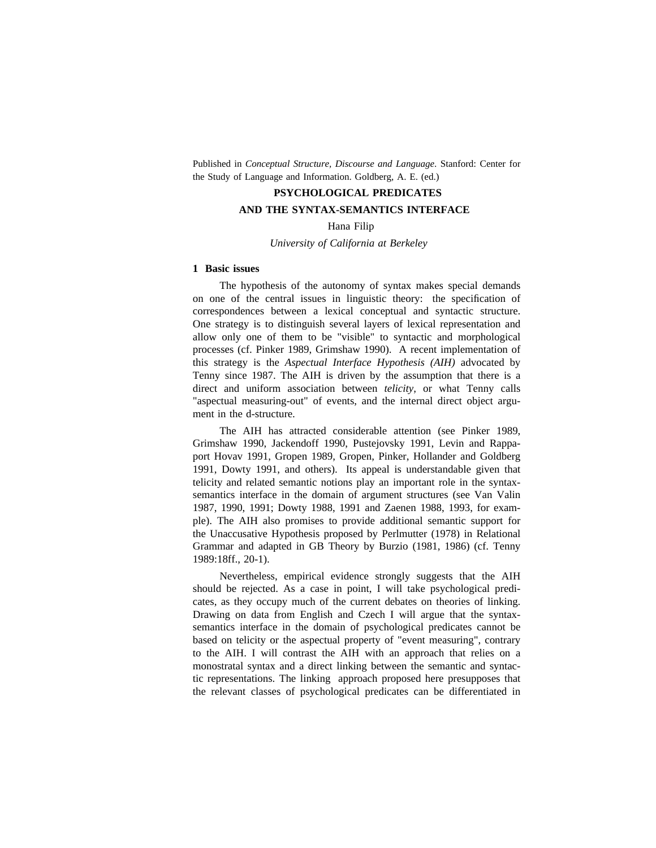Published in *Conceptual Structure, Discourse and Language*. Stanford: Center for the Study of Language and Information. Goldberg, A. E. (ed.)

#### **PSYCHOLOGICAL PREDICATES**

#### **AND THE SYNTAX-SEMANTICS INTERFACE**

Hana Filip

*University of California at Berkeley*

#### **1 Basic issues**

The hypothesis of the autonomy of syntax makes special demands on one of the central issues in linguistic theory: the specification of correspondences between a lexical conceptual and syntactic structure. One strategy is to distinguish several layers of lexical representation and allow only one of them to be "visible" to syntactic and morphological processes (cf. Pinker 1989, Grimshaw 1990). A recent implementation of this strategy is the *Aspectual Interface Hypothesis (AIH)* advocated by Tenny since 1987. The AIH is driven by the assumption that there is a direct and uniform association between *telicity*, or what Tenny calls "aspectual measuring-out" of events, and the internal direct object argument in the d-structure.

The AIH has attracted considerable attention (see Pinker 1989, Grimshaw 1990, Jackendoff 1990, Pustejovsky 1991, Levin and Rappaport Hovav 1991, Gropen 1989, Gropen, Pinker, Hollander and Goldberg 1991, Dowty 1991, and others). Its appeal is understandable given that telicity and related semantic notions play an important role in the syntaxsemantics interface in the domain of argument structures (see Van Valin 1987, 1990, 1991; Dowty 1988, 1991 and Zaenen 1988, 1993, for example). The AIH also promises to provide additional semantic support for the Unaccusative Hypothesis proposed by Perlmutter (1978) in Relational Grammar and adapted in GB Theory by Burzio (1981, 1986) (cf. Tenny 1989:18ff., 20-1).

Nevertheless, empirical evidence strongly suggests that the AIH should be rejected. As a case in point, I will take psychological predicates, as they occupy much of the current debates on theories of linking. Drawing on data from English and Czech I will argue that the syntaxsemantics interface in the domain of psychological predicates cannot be based on telicity or the aspectual property of "event measuring", contrary to the AIH. I will contrast the AIH with an approach that relies on a monostratal syntax and a direct linking between the semantic and syntactic representations. The linking approach proposed here presupposes that the relevant classes of psychological predicates can be differentiated in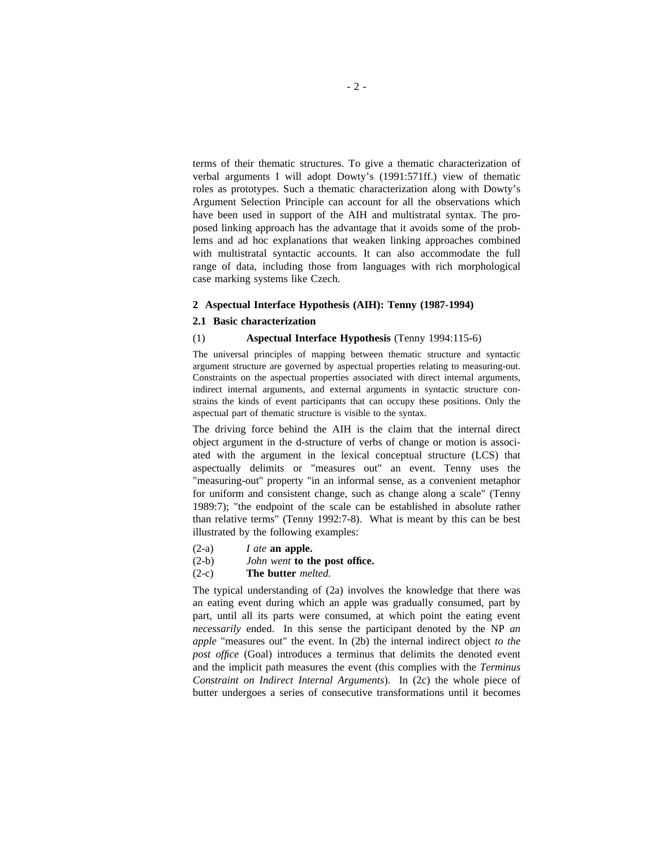terms of their thematic structures. To give a thematic characterization of verbal arguments I will adopt Dowty's (1991:571ff.) view of thematic roles as prototypes. Such a thematic characterization along with Dowty's Argument Selection Principle can account for all the observations which have been used in support of the AIH and multistratal syntax. The proposed linking approach has the advantage that it avoids some of the problems and ad hoc explanations that weaken linking approaches combined with multistratal syntactic accounts. It can also accommodate the full range of data, including those from languages with rich morphological case marking systems like Czech.

#### **2 Aspectual Interface Hypothesis (AIH): Tenny (1987-1994)**

#### **2.1 Basic characterization**

#### (1) **Aspectual Interface Hypothesis** (Tenny 1994:115-6)

The universal principles of mapping between thematic structure and syntactic argument structure are governed by aspectual properties relating to measuring-out. Constraints on the aspectual properties associated with direct internal arguments, indirect internal arguments, and external arguments in syntactic structure constrains the kinds of event participants that can occupy these positions. Only the aspectual part of thematic structure is visible to the syntax.

The driving force behind the AIH is the claim that the internal direct object argument in the d-structure of verbs of change or motion is associated with the argument in the lexical conceptual structure (LCS) that aspectually delimits or "measures out" an event. Tenny uses the "measuring-out" property "in an informal sense, as a convenient metaphor for uniform and consistent change, such as change along a scale" (Tenny 1989:7); "the endpoint of the scale can be established in absolute rather than relative terms" (Tenny 1992:7-8). What is meant by this can be best illustrated by the following examples:

- (2-a) *I ate* **an apple.**
- (2-b) *John went* **to the post office.**
- (2-c) **The butter** *melted.*

The typical understanding of (2a) involves the knowledge that there was an eating event during which an apple was gradually consumed, part by part, until all its parts were consumed, at which point the eating event *necessarily* ended. In this sense the participant denoted by the NP *an apple* "measures out" the event. In (2b) the internal indirect object *to the post office* (Goal) introduces a terminus that delimits the denoted event and the implicit path measures the event (this complies with the *Terminus Constraint on Indirect Internal Arguments*). In (2c) the whole piece of butter undergoes a series of consecutive transformations until it becomes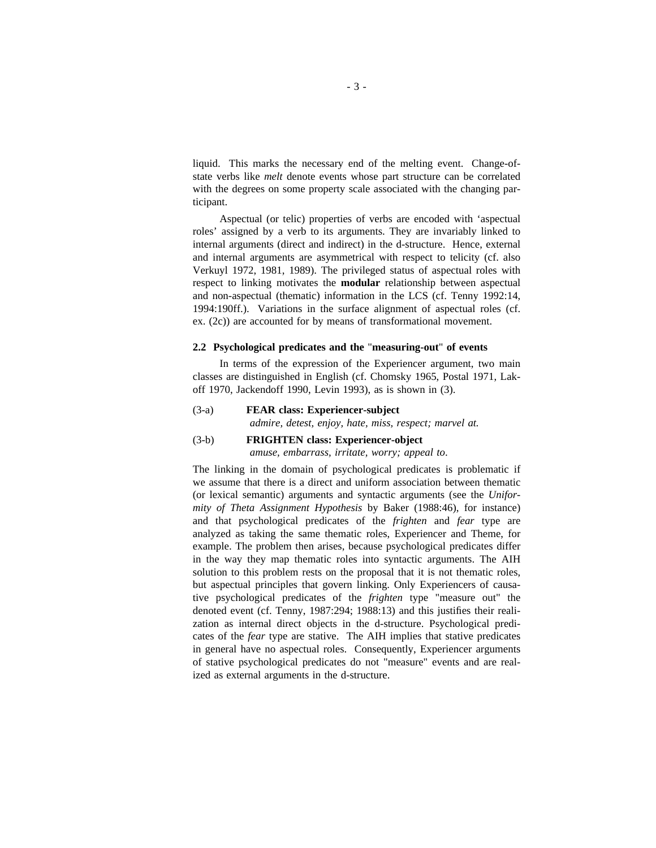liquid. This marks the necessary end of the melting event. Change-ofstate verbs like *melt* denote events whose part structure can be correlated with the degrees on some property scale associated with the changing participant.

Aspectual (or telic) properties of verbs are encoded with 'aspectual roles' assigned by a verb to its arguments. They are invariably linked to internal arguments (direct and indirect) in the d-structure. Hence, external and internal arguments are asymmetrical with respect to telicity (cf. also Verkuyl 1972, 1981, 1989). The privileged status of aspectual roles with respect to linking motivates the **modular** relationship between aspectual and non-aspectual (thematic) information in the LCS (cf. Tenny 1992:14, 1994:190ff.). Variations in the surface alignment of aspectual roles (cf. ex. (2c)) are accounted for by means of transformational movement.

#### **2.2 Psychological predicates and the** "**measuring-out**" **of events**

In terms of the expression of the Experiencer argument, two main classes are distinguished in English (cf. Chomsky 1965, Postal 1971, Lakoff 1970, Jackendoff 1990, Levin 1993), as is shown in (3).

## (3-a) **FEAR class: Experiencer-subject** *admire, detest, enjoy, hate, miss, respect; marvel at.*

## (3-b) **FRIGHTEN class: Experiencer-object** *amuse, embarrass, irritate, worry; appeal to*.

The linking in the domain of psychological predicates is problematic if we assume that there is a direct and uniform association between thematic (or lexical semantic) arguments and syntactic arguments (see the *Uniformity of Theta Assignment Hypothesis* by Baker (1988:46), for instance) and that psychological predicates of the *frighten* and *fear* type are analyzed as taking the same thematic roles, Experiencer and Theme, for example. The problem then arises, because psychological predicates differ in the way they map thematic roles into syntactic arguments. The AIH solution to this problem rests on the proposal that it is not thematic roles, but aspectual principles that govern linking. Only Experiencers of causative psychological predicates of the *frighten* type "measure out" the denoted event (cf. Tenny, 1987:294; 1988:13) and this justifies their realization as internal direct objects in the d-structure. Psychological predicates of the *fear* type are stative. The AIH implies that stative predicates in general have no aspectual roles. Consequently, Experiencer arguments of stative psychological predicates do not "measure" events and are realized as external arguments in the d-structure.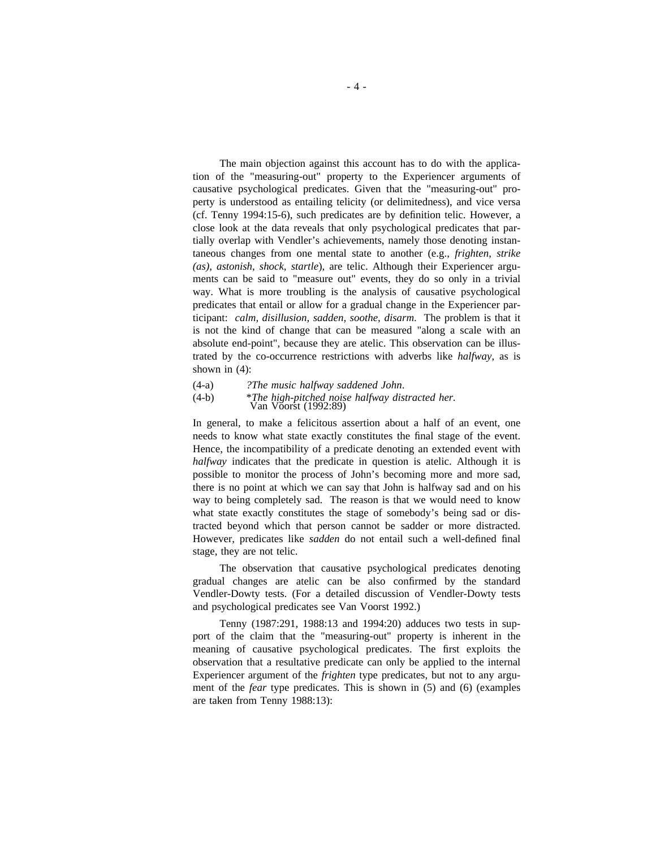The main objection against this account has to do with the application of the "measuring-out" property to the Experiencer arguments of causative psychological predicates. Given that the "measuring-out" property is understood as entailing telicity (or delimitedness), and vice versa (cf. Tenny 1994:15-6), such predicates are by definition telic. However, a close look at the data reveals that only psychological predicates that partially overlap with Vendler's achievements, namely those denoting instantaneous changes from one mental state to another (e.g., *frighten*, *strike (as), astonish*, *shock*, *startle*), are telic. Although their Experiencer arguments can be said to "measure out" events, they do so only in a trivial way. What is more troubling is the analysis of causative psychological predicates that entail or allow for a gradual change in the Experiencer participant: *calm, disillusion, sadden, soothe, disarm*. The problem is that it is not the kind of change that can be measured "along a scale with an absolute end-point", because they are atelic. This observation can be illustrated by the co-occurrence restrictions with adverbs like *halfway*, as is shown in (4):

# (4-a) *?The music halfway saddened John*. (4-b) \**The high-pitched noise halfway distracted her.* Van Voorst (1992:89)

In general, to make a felicitous assertion about a half of an event, one needs to know what state exactly constitutes the final stage of the event. Hence, the incompatibility of a predicate denoting an extended event with *halfway* indicates that the predicate in question is atelic. Although it is possible to monitor the process of John's becoming more and more sad, there is no point at which we can say that John is halfway sad and on his way to being completely sad. The reason is that we would need to know what state exactly constitutes the stage of somebody's being sad or distracted beyond which that person cannot be sadder or more distracted. However, predicates like *sadden* do not entail such a well-defined final stage, they are not telic.

The observation that causative psychological predicates denoting gradual changes are atelic can be also confirmed by the standard Vendler-Dowty tests. (For a detailed discussion of Vendler-Dowty tests and psychological predicates see Van Voorst 1992.)

Tenny (1987:291, 1988:13 and 1994:20) adduces two tests in support of the claim that the "measuring-out" property is inherent in the meaning of causative psychological predicates. The first exploits the observation that a resultative predicate can only be applied to the internal Experiencer argument of the *frighten* type predicates, but not to any argument of the *fear* type predicates. This is shown in (5) and (6) (examples are taken from Tenny 1988:13):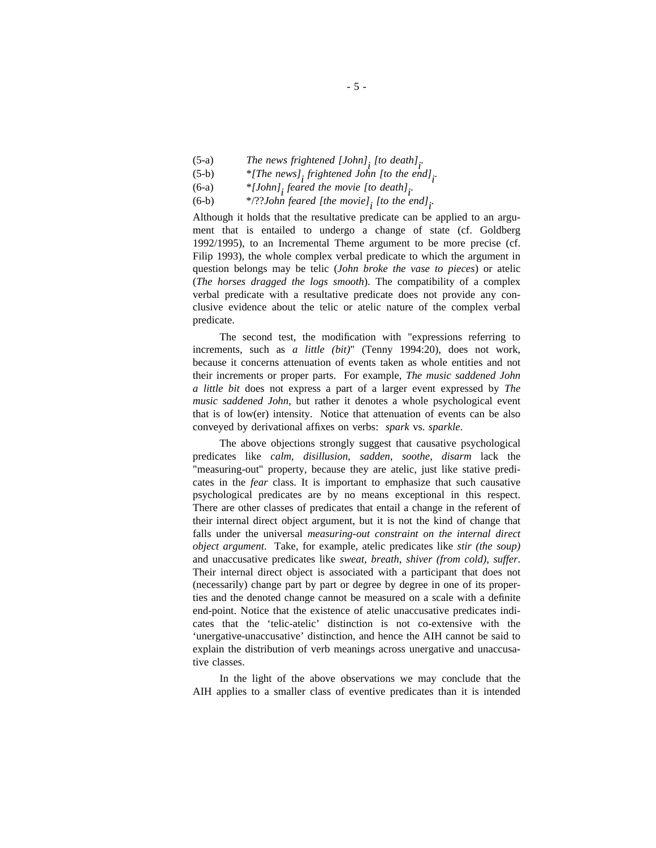- (5-a) *The news frightened [John]i [to death]i .*
- (5-b)  $*$  [The news]<sub>i</sub> frightened John [to the end]<sub>i</sub>.
- (6-a) \**[John]i feared the movie [to death]i .*
- (6-b)  $*$ /??*John feared [the movie]*<sub>*i</sub>* [to the end]<sub>*i*</sub></sub>

Although it holds that the resultative predicate can be applied to an argument that is entailed to undergo a change of state (cf. Goldberg 1992/1995), to an Incremental Theme argument to be more precise (cf. Filip 1993), the whole complex verbal predicate to which the argument in question belongs may be telic (*John broke the vase to pieces*) or atelic (*The horses dragged the logs smooth*). The compatibility of a complex verbal predicate with a resultative predicate does not provide any conclusive evidence about the telic or atelic nature of the complex verbal predicate.

The second test, the modification with "expressions referring to increments, such as *a little (bit)*" (Tenny 1994:20), does not work, because it concerns attenuation of events taken as whole entities and not their increments or proper parts. For example, *The music saddened John a little bit* does not express a part of a larger event expressed by *The music saddened John*, but rather it denotes a whole psychological event that is of low(er) intensity. Notice that attenuation of events can be also conveyed by derivational affixes on verbs: *spark* vs. *sparkle*.

The above objections strongly suggest that causative psychological predicates like *calm, disillusion, sadden, soothe, disarm* lack the "measuring-out" property, because they are atelic, just like stative predicates in the *fear* class. It is important to emphasize that such causative psychological predicates are by no means exceptional in this respect. There are other classes of predicates that entail a change in the referent of their internal direct object argument, but it is not the kind of change that falls under the universal *measuring-out constraint on the internal direct object argument*. Take, for example, atelic predicates like *stir (the soup)* and unaccusative predicates like *sweat*, *breath*, *shiver (from cold), suffer*. Their internal direct object is associated with a participant that does not (necessarily) change part by part or degree by degree in one of its properties and the denoted change cannot be measured on a scale with a definite end-point. Notice that the existence of atelic unaccusative predicates indicates that the 'telic-atelic' distinction is not co-extensive with the 'unergative-unaccusative' distinction, and hence the AIH cannot be said to explain the distribution of verb meanings across unergative and unaccusative classes.

In the light of the above observations we may conclude that the AIH applies to a smaller class of eventive predicates than it is intended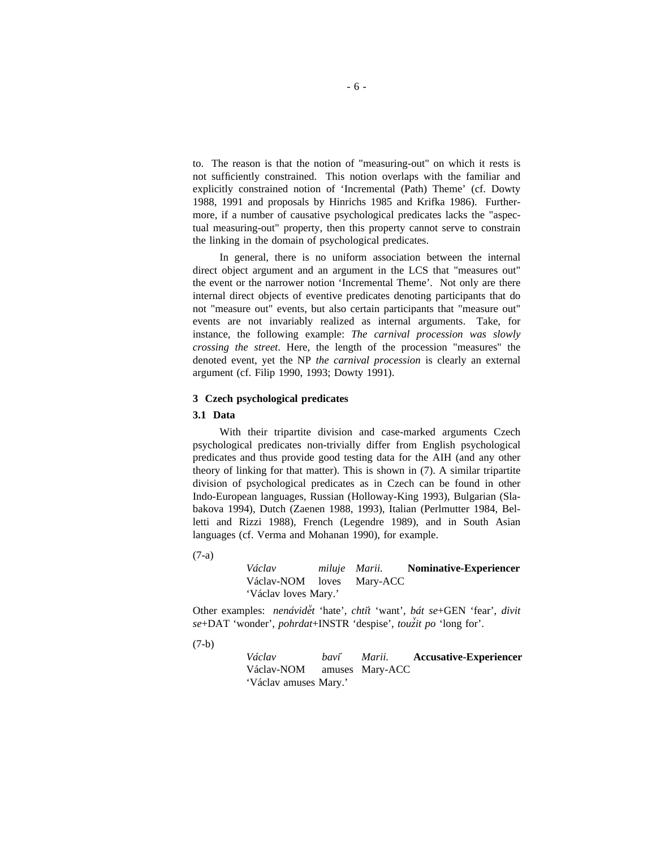to. The reason is that the notion of "measuring-out" on which it rests is not sufficiently constrained. This notion overlaps with the familiar and explicitly constrained notion of 'Incremental (Path) Theme' (cf. Dowty 1988, 1991 and proposals by Hinrichs 1985 and Krifka 1986). Furthermore, if a number of causative psychological predicates lacks the "aspectual measuring-out" property, then this property cannot serve to constrain the linking in the domain of psychological predicates.

In general, there is no uniform association between the internal direct object argument and an argument in the LCS that "measures out" the event or the narrower notion 'Incremental Theme'. Not only are there internal direct objects of eventive predicates denoting participants that do not "measure out" events, but also certain participants that "measure out" events are not invariably realized as internal arguments. Take, for instance, the following example: *The carnival procession was slowly crossing the street*. Here, the length of the procession "measures" the denoted event, yet the NP *the carnival procession* is clearly an external argument (cf. Filip 1990, 1993; Dowty 1991).

#### **3 Czech psychological predicates**

#### **3.1 Data**

With their tripartite division and case-marked arguments Czech psychological predicates non-trivially differ from English psychological predicates and thus provide good testing data for the AIH (and any other theory of linking for that matter). This is shown in (7). A similar tripartite division of psychological predicates as in Czech can be found in other Indo-European languages, Russian (Holloway-King 1993), Bulgarian (Slabakova 1994), Dutch (Zaenen 1988, 1993), Italian (Perlmutter 1984, Belletti and Rizzi 1988), French (Legendre 1989), and in South Asian languages (cf. Verma and Mohanan 1990), for example.

(7-a)

*Va*´*clav miluje Marii.* **Nominative-Experiencer** Václav-NOM loves Mary-ACC 'Václav loves Mary.'

Other examples: *nena*´*vide<sup>v</sup> t* 'hate', *chti*´*t* 'want', *ba*´*t se*+GEN 'fear', *divit* se+DAT 'wonder', *pohrdat*+INSTR 'despise', *touzit po* 'long for'.

 $(7-h)$ 

*Va*´*clav bavi*´ *Marii.* **Accusative-Experiencer** Václav-NOM amuses Mary-ACC 'Václav amuses Mary.'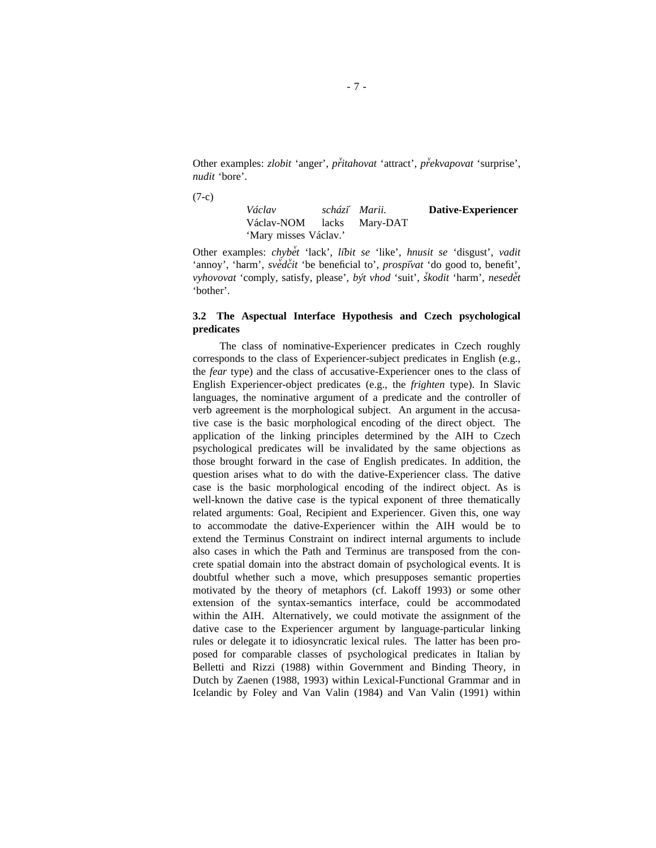Other examples: *zlobit* 'anger', *p*<sup>r</sup>itahovat 'attract', *p*<sup>r</sup>ekvapovat 'surprise', *nudit* 'bore'.

(7-c)



Other examples: *chybet* 'lack', *libit se* 'like', *hnusit se* 'disgust', *vadit* 'annoy', 'harm', *svedcit* 'be beneficial to', *prospivat* 'do good to, benefit', *vyhovovat* 'comply, satisfy, please', *být vhod* 'suit', *škodit* 'harm', *nesedet* 'bother'.

### **3.2 The Aspectual Interface Hypothesis and Czech psychological predicates**

The class of nominative-Experiencer predicates in Czech roughly corresponds to the class of Experiencer-subject predicates in English (e.g., the *fear* type) and the class of accusative-Experiencer ones to the class of English Experiencer-object predicates (e.g., the *frighten* type). In Slavic languages, the nominative argument of a predicate and the controller of verb agreement is the morphological subject. An argument in the accusative case is the basic morphological encoding of the direct object. The application of the linking principles determined by the AIH to Czech psychological predicates will be invalidated by the same objections as those brought forward in the case of English predicates. In addition, the question arises what to do with the dative-Experiencer class. The dative case is the basic morphological encoding of the indirect object. As is well-known the dative case is the typical exponent of three thematically related arguments: Goal, Recipient and Experiencer. Given this, one way to accommodate the dative-Experiencer within the AIH would be to extend the Terminus Constraint on indirect internal arguments to include also cases in which the Path and Terminus are transposed from the concrete spatial domain into the abstract domain of psychological events. It is doubtful whether such a move, which presupposes semantic properties motivated by the theory of metaphors (cf. Lakoff 1993) or some other extension of the syntax-semantics interface, could be accommodated within the AIH. Alternatively, we could motivate the assignment of the dative case to the Experiencer argument by language-particular linking rules or delegate it to idiosyncratic lexical rules. The latter has been proposed for comparable classes of psychological predicates in Italian by Belletti and Rizzi (1988) within Government and Binding Theory, in Dutch by Zaenen (1988, 1993) within Lexical-Functional Grammar and in Icelandic by Foley and Van Valin (1984) and Van Valin (1991) within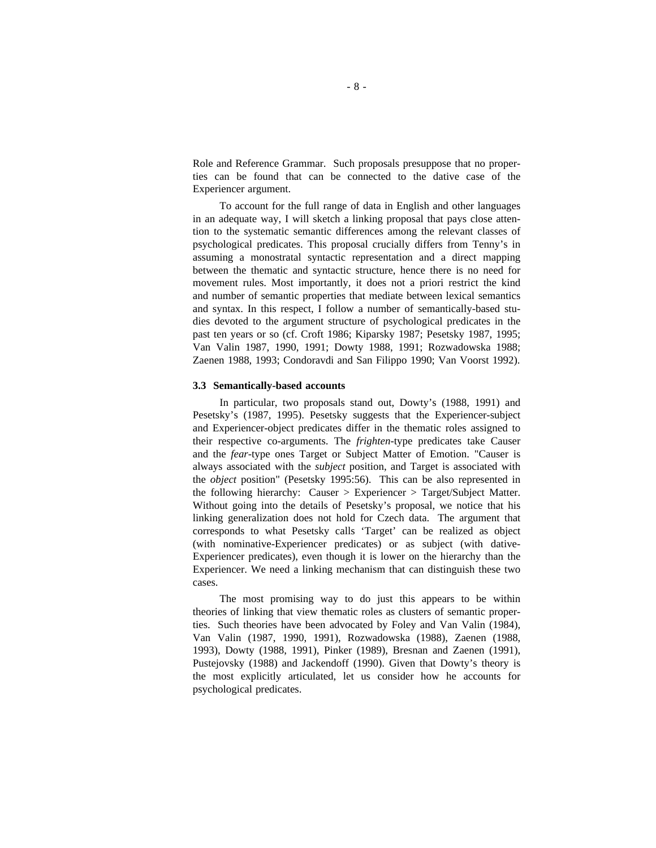Role and Reference Grammar. Such proposals presuppose that no properties can be found that can be connected to the dative case of the Experiencer argument.

To account for the full range of data in English and other languages in an adequate way, I will sketch a linking proposal that pays close attention to the systematic semantic differences among the relevant classes of psychological predicates. This proposal crucially differs from Tenny's in assuming a monostratal syntactic representation and a direct mapping between the thematic and syntactic structure, hence there is no need for movement rules. Most importantly, it does not a priori restrict the kind and number of semantic properties that mediate between lexical semantics and syntax. In this respect, I follow a number of semantically-based studies devoted to the argument structure of psychological predicates in the past ten years or so (cf. Croft 1986; Kiparsky 1987; Pesetsky 1987, 1995; Van Valin 1987, 1990, 1991; Dowty 1988, 1991; Rozwadowska 1988; Zaenen 1988, 1993; Condoravdi and San Filippo 1990; Van Voorst 1992).

#### **3.3 Semantically-based accounts**

In particular, two proposals stand out, Dowty's (1988, 1991) and Pesetsky's (1987, 1995). Pesetsky suggests that the Experiencer-subject and Experiencer-object predicates differ in the thematic roles assigned to their respective co-arguments. The *frighten*-type predicates take Causer and the *fear*-type ones Target or Subject Matter of Emotion. "Causer is always associated with the *subject* position, and Target is associated with the *object* position" (Pesetsky 1995:56). This can be also represented in the following hierarchy: Causer > Experiencer > Target/Subject Matter. Without going into the details of Pesetsky's proposal, we notice that his linking generalization does not hold for Czech data. The argument that corresponds to what Pesetsky calls 'Target' can be realized as object (with nominative-Experiencer predicates) or as subject (with dative-Experiencer predicates), even though it is lower on the hierarchy than the Experiencer. We need a linking mechanism that can distinguish these two cases.

The most promising way to do just this appears to be within theories of linking that view thematic roles as clusters of semantic properties. Such theories have been advocated by Foley and Van Valin (1984), Van Valin (1987, 1990, 1991), Rozwadowska (1988), Zaenen (1988, 1993), Dowty (1988, 1991), Pinker (1989), Bresnan and Zaenen (1991), Pustejovsky (1988) and Jackendoff (1990). Given that Dowty's theory is the most explicitly articulated, let us consider how he accounts for psychological predicates.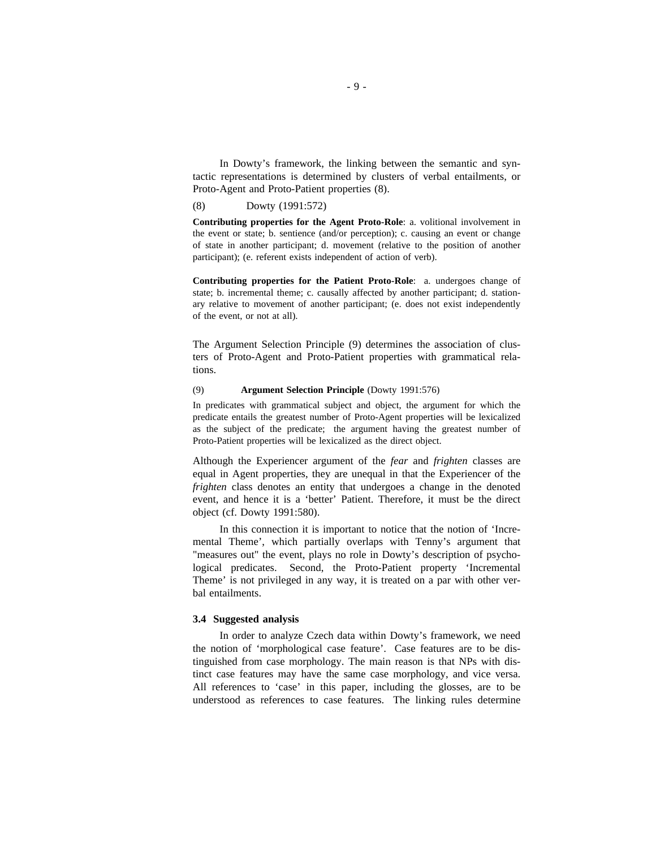In Dowty's framework, the linking between the semantic and syntactic representations is determined by clusters of verbal entailments, or Proto-Agent and Proto-Patient properties (8).

(8) Dowty (1991:572)

**Contributing properties for the Agent Proto-Role**: a. volitional involvement in the event or state; b. sentience (and/or perception); c. causing an event or change of state in another participant; d. movement (relative to the position of another participant); (e. referent exists independent of action of verb).

**Contributing properties for the Patient Proto-Role**: a. undergoes change of state; b. incremental theme; c. causally affected by another participant; d. stationary relative to movement of another participant; (e. does not exist independently of the event, or not at all).

The Argument Selection Principle (9) determines the association of clusters of Proto-Agent and Proto-Patient properties with grammatical relations.

#### (9) **Argument Selection Principle** (Dowty 1991:576)

In predicates with grammatical subject and object, the argument for which the predicate entails the greatest number of Proto-Agent properties will be lexicalized as the subject of the predicate; the argument having the greatest number of Proto-Patient properties will be lexicalized as the direct object.

Although the Experiencer argument of the *fear* and *frighten* classes are equal in Agent properties, they are unequal in that the Experiencer of the *frighten* class denotes an entity that undergoes a change in the denoted event, and hence it is a 'better' Patient. Therefore, it must be the direct object (cf. Dowty 1991:580).

In this connection it is important to notice that the notion of 'Incremental Theme', which partially overlaps with Tenny's argument that "measures out" the event, plays no role in Dowty's description of psychological predicates. Second, the Proto-Patient property 'Incremental Theme' is not privileged in any way, it is treated on a par with other verbal entailments.

#### **3.4 Suggested analysis**

In order to analyze Czech data within Dowty's framework, we need the notion of 'morphological case feature'. Case features are to be distinguished from case morphology. The main reason is that NPs with distinct case features may have the same case morphology, and vice versa. All references to 'case' in this paper, including the glosses, are to be understood as references to case features. The linking rules determine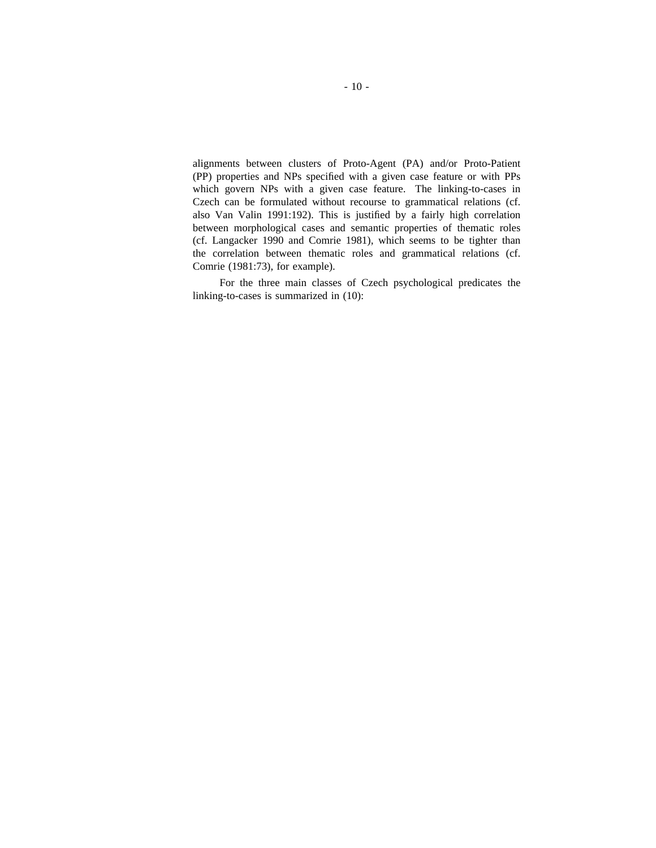alignments between clusters of Proto-Agent (PA) and/or Proto-Patient (PP) properties and NPs specified with a given case feature or with PPs which govern NPs with a given case feature. The linking-to-cases in Czech can be formulated without recourse to grammatical relations (cf. also Van Valin 1991:192). This is justified by a fairly high correlation between morphological cases and semantic properties of thematic roles (cf. Langacker 1990 and Comrie 1981), which seems to be tighter than the correlation between thematic roles and grammatical relations (cf. Comrie (1981:73), for example).

For the three main classes of Czech psychological predicates the linking-to-cases is summarized in (10):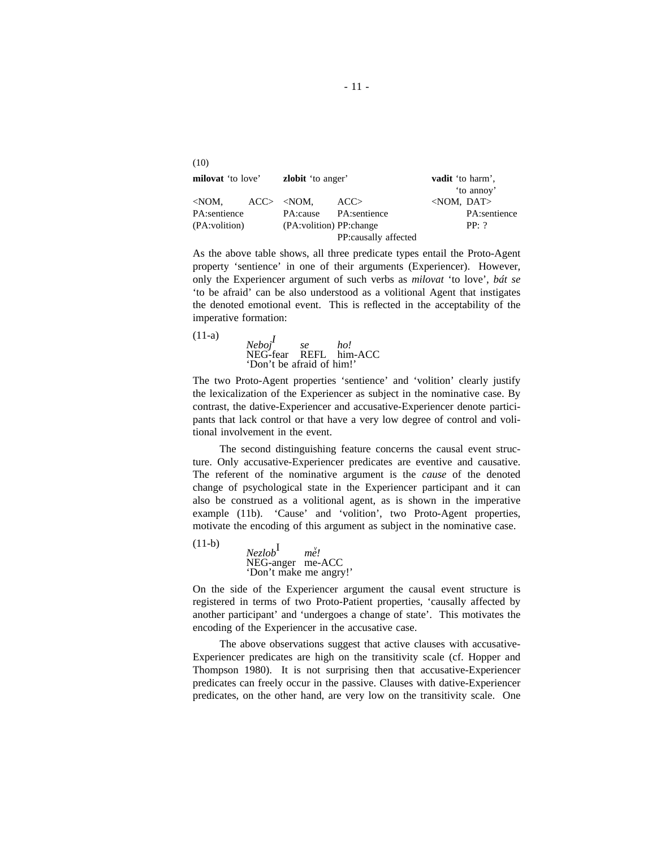(10) **milovat** 'to love' **zlobit** 'to anger' **vadit** 'to harm', 'to annoy'  $\langle NOM, \text{OMA} \rangle$   $\langle NOM, \text{OMA} \rangle$   $\langle NOM, \text{DATA} \rangle$ PA:sentience PA:cause PA:sentience PA:sentience (PA:volition) (PA:volition) PP:change PP: ? PP:causally affected

As the above table shows, all three predicate types entail the Proto-Agent property 'sentience' in one of their arguments (Experiencer). However, only the Experiencer argument of such verbs as *milovat* 'to love', *ba*´*t se* 'to be afraid' can be also understood as a volitional Agent that instigates the denoted emotional event. This is reflected in the acceptability of the imperative formation:

(11-a) *Neboj<sup>I</sup> se ho!* NEG-fear REFL him-ACC 'Don't be afraid of him!'

The two Proto-Agent properties 'sentience' and 'volition' clearly justify the lexicalization of the Experiencer as subject in the nominative case. By contrast, the dative-Experiencer and accusative-Experiencer denote participants that lack control or that have a very low degree of control and volitional involvement in the event.

The second distinguishing feature concerns the causal event structure. Only accusative-Experiencer predicates are eventive and causative. The referent of the nominative argument is the *cause* of the denoted change of psychological state in the Experiencer participant and it can also be construed as a volitional agent, as is shown in the imperative example (11b). 'Cause' and 'volition', two Proto-Agent properties, motivate the encoding of this argument as subject in the nominative case.

(11-b)

*Nezlob*<sup>I</sup> *me v !* NEG-anger me-ACC 'Don't make me angry!'

On the side of the Experiencer argument the causal event structure is registered in terms of two Proto-Patient properties, 'causally affected by another participant' and 'undergoes a change of state'. This motivates the encoding of the Experiencer in the accusative case.

The above observations suggest that active clauses with accusative-Experiencer predicates are high on the transitivity scale (cf. Hopper and Thompson 1980). It is not surprising then that accusative-Experiencer predicates can freely occur in the passive. Clauses with dative-Experiencer predicates, on the other hand, are very low on the transitivity scale. One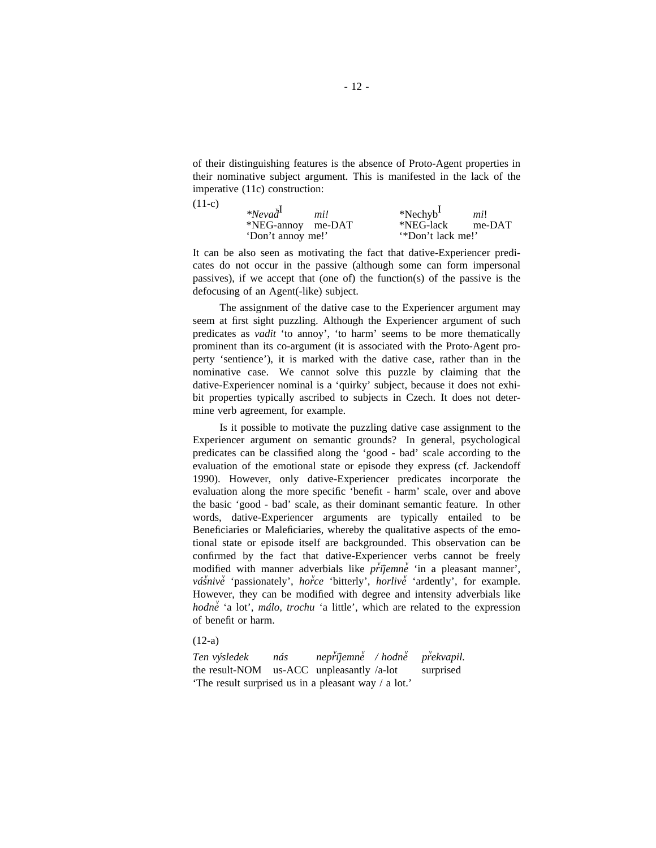of their distinguishing features is the absence of Proto-Agent properties in their nominative subject argument. This is manifested in the lack of the imperative (11c) construction:

| $(11-c)$ |                                     |                  |        |
|----------|-------------------------------------|------------------|--------|
|          | $*Newa\ddot{d}^{\mathbf{l}}$<br>mi! | $*Nechyb1$       | mi!    |
|          | *NEG-annoy me-DAT                   | *NEG-lack        | me-DAT |
|          | 'Don't annoy me!'                   | "Don't lack me!" |        |

It can be also seen as motivating the fact that dative-Experiencer predicates do not occur in the passive (although some can form impersonal passives), if we accept that (one of) the function(s) of the passive is the defocusing of an Agent(-like) subject.

The assignment of the dative case to the Experiencer argument may seem at first sight puzzling. Although the Experiencer argument of such predicates as *vadit* 'to annoy', 'to harm' seems to be more thematically prominent than its co-argument (it is associated with the Proto-Agent property 'sentience'), it is marked with the dative case, rather than in the nominative case. We cannot solve this puzzle by claiming that the dative-Experiencer nominal is a 'quirky' subject, because it does not exhibit properties typically ascribed to subjects in Czech. It does not determine verb agreement, for example.

Is it possible to motivate the puzzling dative case assignment to the Experiencer argument on semantic grounds? In general, psychological predicates can be classified along the 'good - bad' scale according to the evaluation of the emotional state or episode they express (cf. Jackendoff 1990). However, only dative-Experiencer predicates incorporate the evaluation along the more specific 'benefit - harm' scale, over and above the basic 'good - bad' scale, as their dominant semantic feature. In other words, dative-Experiencer arguments are typically entailed to be Beneficiaries or Maleficiaries, whereby the qualitative aspects of the emotional state or episode itself are backgrounded. This observation can be confirmed by the fact that dative-Experiencer verbs cannot be freely modified with manner adverbials like *prtjemne* 'in a pleasant manner', vášnive<sup>*v*</sup> 'passionately', *horce* 'bitterly', *horlive*<sup>'</sup> 'ardently', for example. However, they can be modified with degree and intensity adverbials like hodne<sup>*v*</sup> a lot', *málo, trochu* 'a little', which are related to the expression of benefit or harm.

#### (12-a)

| Ten výsledek | nás | nepřijemně / hodně překvapil.                        |           |
|--------------|-----|------------------------------------------------------|-----------|
|              |     | the result-NOM us-ACC unpleasantly $/a$ -lot         | surprised |
|              |     | 'The result surprised us in a pleasant way / a lot.' |           |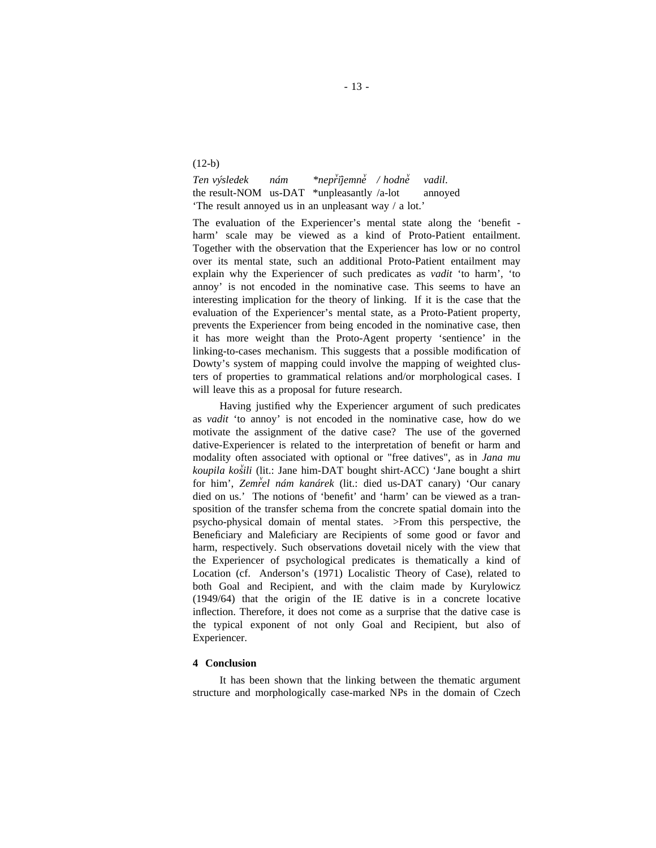(12-b)

*Ten výsledek nám i*´*jemne<sup>v</sup> / hodne<sup>v</sup> vadil*. the result-NOM us-DAT \*unpleasantly /a-lot annoyed 'The result annoyed us in an unpleasant way / a lot.'

The evaluation of the Experiencer's mental state along the 'benefit harm' scale may be viewed as a kind of Proto-Patient entailment. Together with the observation that the Experiencer has low or no control over its mental state, such an additional Proto-Patient entailment may explain why the Experiencer of such predicates as *vadit* 'to harm', 'to annoy' is not encoded in the nominative case. This seems to have an interesting implication for the theory of linking. If it is the case that the evaluation of the Experiencer's mental state, as a Proto-Patient property, prevents the Experiencer from being encoded in the nominative case, then it has more weight than the Proto-Agent property 'sentience' in the linking-to-cases mechanism. This suggests that a possible modification of Dowty's system of mapping could involve the mapping of weighted clusters of properties to grammatical relations and/or morphological cases. I will leave this as a proposal for future research.

Having justified why the Experiencer argument of such predicates as *vadit* 'to annoy' is not encoded in the nominative case, how do we motivate the assignment of the dative case? The use of the governed dative-Experiencer is related to the interpretation of benefit or harm and modality often associated with optional or "free datives", as in *Jana mu koupila kos<sup>v</sup> ili* (lit.: Jane him-DAT bought shirt-ACC) 'Jane bought a shirt for him', *Zemr<sup>v</sup> el na*´*m kana*´*rek* (lit.: died us-DAT canary) 'Our canary died on us.' The notions of 'benefit' and 'harm' can be viewed as a transposition of the transfer schema from the concrete spatial domain into the psycho-physical domain of mental states. >From this perspective, the Beneficiary and Maleficiary are Recipients of some good or favor and harm, respectively. Such observations dovetail nicely with the view that the Experiencer of psychological predicates is thematically a kind of Location (cf. Anderson's (1971) Localistic Theory of Case), related to both Goal and Recipient, and with the claim made by Kurylowicz (1949/64) that the origin of the IE dative is in a concrete locative inflection. Therefore, it does not come as a surprise that the dative case is the typical exponent of not only Goal and Recipient, but also of Experiencer.

#### **4 Conclusion**

It has been shown that the linking between the thematic argument structure and morphologically case-marked NPs in the domain of Czech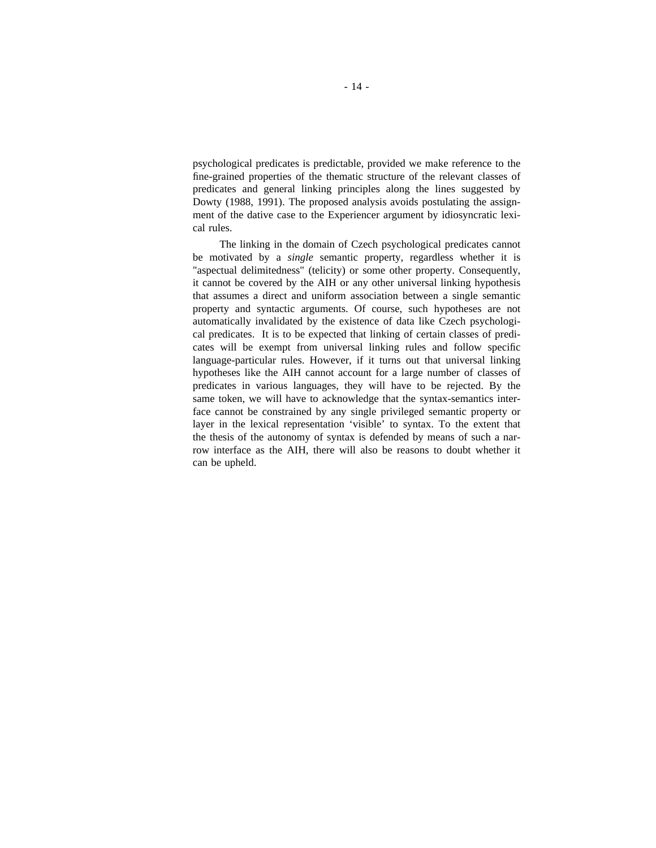psychological predicates is predictable, provided we make reference to the fine-grained properties of the thematic structure of the relevant classes of predicates and general linking principles along the lines suggested by Dowty (1988, 1991). The proposed analysis avoids postulating the assignment of the dative case to the Experiencer argument by idiosyncratic lexical rules.

The linking in the domain of Czech psychological predicates cannot be motivated by a *single* semantic property, regardless whether it is "aspectual delimitedness" (telicity) or some other property. Consequently, it cannot be covered by the AIH or any other universal linking hypothesis that assumes a direct and uniform association between a single semantic property and syntactic arguments. Of course, such hypotheses are not automatically invalidated by the existence of data like Czech psychological predicates. It is to be expected that linking of certain classes of predicates will be exempt from universal linking rules and follow specific language-particular rules. However, if it turns out that universal linking hypotheses like the AIH cannot account for a large number of classes of predicates in various languages, they will have to be rejected. By the same token, we will have to acknowledge that the syntax-semantics interface cannot be constrained by any single privileged semantic property or layer in the lexical representation 'visible' to syntax. To the extent that the thesis of the autonomy of syntax is defended by means of such a narrow interface as the AIH, there will also be reasons to doubt whether it can be upheld.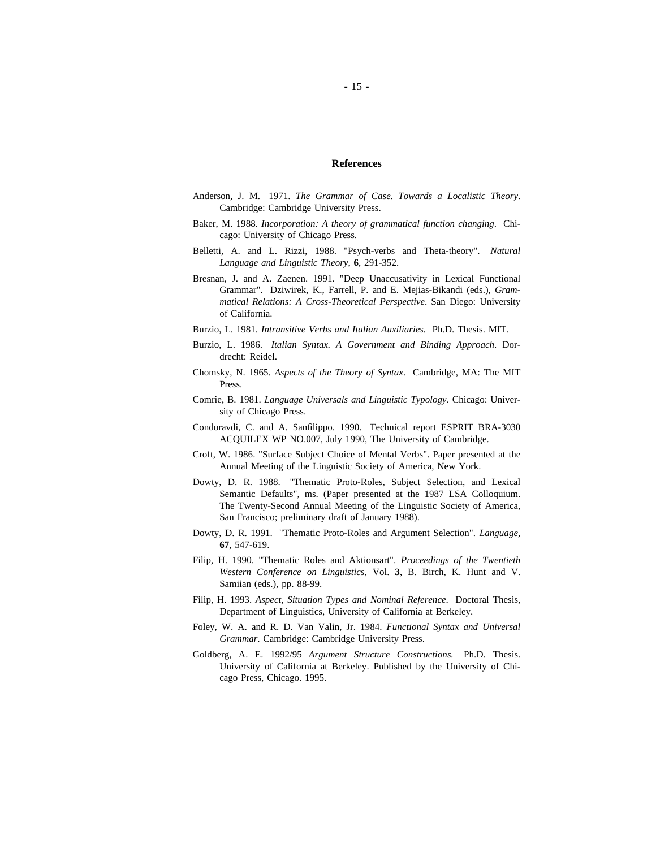#### **References**

- Anderson, J. M. 1971. *The Grammar of Case. Towards a Localistic Theory*. Cambridge: Cambridge University Press.
- Baker, M. 1988. *Incorporation: A theory of grammatical function changing*. Chicago: University of Chicago Press.
- Belletti, A. and L. Rizzi, 1988. "Psych-verbs and Theta-theory". *Natural Language and Linguistic Theory*, **6**, 291-352.
- Bresnan, J. and A. Zaenen. 1991. "Deep Unaccusativity in Lexical Functional Grammar". Dziwirek, K., Farrell, P. and E. Mejias-Bikandi (eds.), *Grammatical Relations: A Cross-Theoretical Perspective*. San Diego: University of California.
- Burzio, L. 1981. *Intransitive Verbs and Italian Auxiliaries.* Ph.D. Thesis. MIT.
- Burzio, L. 1986. *Italian Syntax. A Government and Binding Approach*. Dordrecht: Reidel.
- Chomsky, N. 1965. *Aspects of the Theory of Syntax*. Cambridge, MA: The MIT Press.
- Comrie, B. 1981. *Language Universals and Linguistic Typology*. Chicago: University of Chicago Press.
- Condoravdi, C. and A. Sanfilippo. 1990. Technical report ESPRIT BRA-3030 ACQUILEX WP NO.007, July 1990, The University of Cambridge.
- Croft, W. 1986. "Surface Subject Choice of Mental Verbs". Paper presented at the Annual Meeting of the Linguistic Society of America, New York.
- Dowty, D. R. 1988. "Thematic Proto-Roles, Subject Selection, and Lexical Semantic Defaults", ms. (Paper presented at the 1987 LSA Colloquium. The Twenty-Second Annual Meeting of the Linguistic Society of America, San Francisco; preliminary draft of January 1988).
- Dowty, D. R. 1991. "Thematic Proto-Roles and Argument Selection". *Language,* **67**, 547-619.
- Filip, H. 1990. "Thematic Roles and Aktionsart". *Proceedings of the Twentieth Western Conference on Linguistics*, Vol. **3**, B. Birch, K. Hunt and V. Samiian (eds.), pp. 88-99.
- Filip, H. 1993. *Aspect, Situation Types and Nominal Reference*. Doctoral Thesis, Department of Linguistics, University of California at Berkeley.
- Foley, W. A. and R. D. Van Valin, Jr. 1984. *Functional Syntax and Universal Grammar*. Cambridge: Cambridge University Press.
- Goldberg, A. E. 1992/95 *Argument Structure Constructions.* Ph.D. Thesis. University of California at Berkeley. Published by the University of Chicago Press, Chicago. 1995.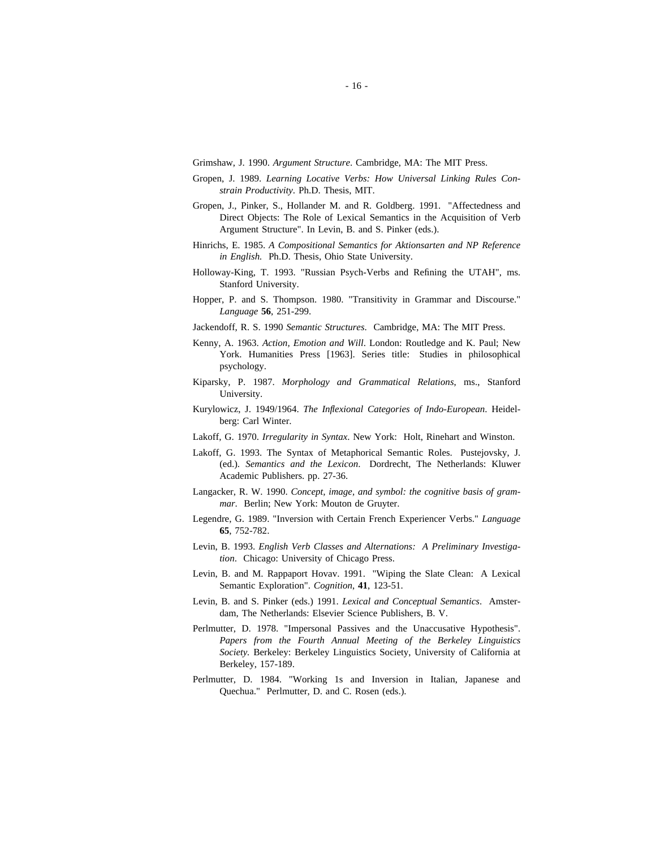Grimshaw, J. 1990. *Argument Structure*. Cambridge, MA: The MIT Press.

- Gropen, J. 1989. *Learning Locative Verbs: How Universal Linking Rules Constrain Productivity*. Ph.D. Thesis, MIT.
- Gropen, J., Pinker, S., Hollander M. and R. Goldberg. 1991. "Affectedness and Direct Objects: The Role of Lexical Semantics in the Acquisition of Verb Argument Structure". In Levin, B. and S. Pinker (eds.).
- Hinrichs, E. 1985. *A Compositional Semantics for Aktionsarten and NP Reference in English.* Ph.D. Thesis, Ohio State University.
- Holloway-King, T. 1993. "Russian Psych-Verbs and Refining the UTAH", ms. Stanford University.
- Hopper, P. and S. Thompson. 1980. "Transitivity in Grammar and Discourse." *Language* **56**, 251-299.
- Jackendoff, R. S. 1990 *Semantic Structures*. Cambridge, MA: The MIT Press.
- Kenny, A. 1963. *Action, Emotion and Will*. London: Routledge and K. Paul; New York. Humanities Press [1963]. Series title: Studies in philosophical psychology.
- Kiparsky, P. 1987. *Morphology and Grammatical Relations*, ms., Stanford University.
- Kurylowicz, J. 1949/1964. *The Inflexional Categories of Indo-European*. Heidelberg: Carl Winter.
- Lakoff, G. 1970. *Irregularity in Syntax*. New York: Holt, Rinehart and Winston.
- Lakoff, G. 1993. The Syntax of Metaphorical Semantic Roles. Pustejovsky, J. (ed.). *Semantics and the Lexicon*. Dordrecht, The Netherlands: Kluwer Academic Publishers. pp. 27-36.
- Langacker, R. W. 1990. *Concept, image, and symbol: the cognitive basis of grammar*. Berlin; New York: Mouton de Gruyter.
- Legendre, G. 1989. "Inversion with Certain French Experiencer Verbs." *Language* **65**, 752-782.
- Levin, B. 1993. *English Verb Classes and Alternations: A Preliminary Investigation*. Chicago: University of Chicago Press.
- Levin, B. and M. Rappaport Hovav. 1991. "Wiping the Slate Clean: A Lexical Semantic Exploration". *Cognition*, **41**, 123-51.
- Levin, B. and S. Pinker (eds.) 1991. *Lexical and Conceptual Semantics*. Amsterdam, The Netherlands: Elsevier Science Publishers, B. V.
- Perlmutter, D. 1978. "Impersonal Passives and the Unaccusative Hypothesis". *Papers from the Fourth Annual Meeting of the Berkeley Linguistics Society.* Berkeley: Berkeley Linguistics Society, University of California at Berkeley, 157-189.
- Perlmutter, D. 1984. "Working 1s and Inversion in Italian, Japanese and Quechua." Perlmutter, D. and C. Rosen (eds.).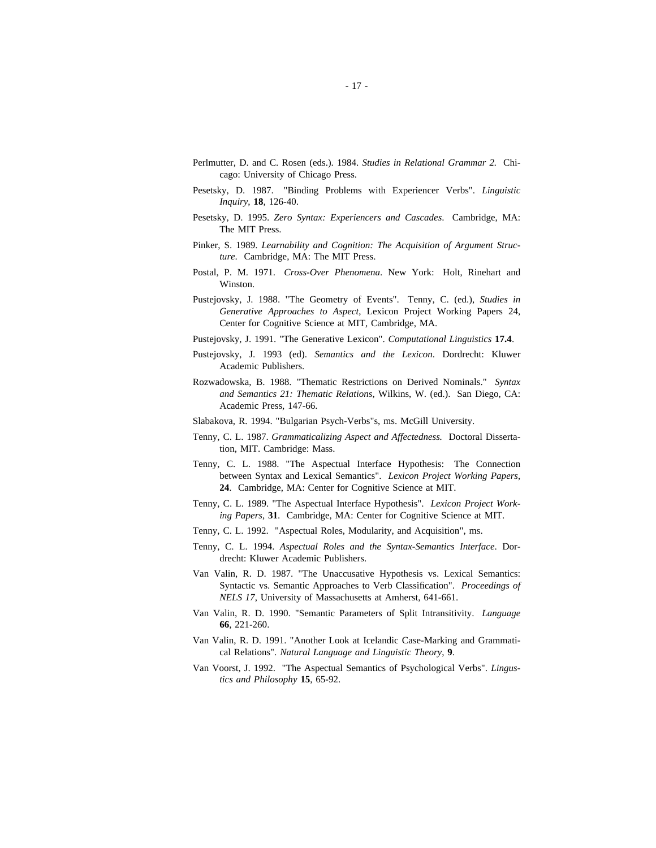- Perlmutter, D. and C. Rosen (eds.). 1984. *Studies in Relational Grammar 2.* Chicago: University of Chicago Press.
- Pesetsky, D. 1987. "Binding Problems with Experiencer Verbs". *Linguistic Inquiry*, **18**, 126-40.
- Pesetsky, D. 1995. *Zero Syntax: Experiencers and Cascades*. Cambridge, MA: The MIT Press.
- Pinker, S. 1989. *Learnability and Cognition: The Acquisition of Argument Structure*. Cambridge, MA: The MIT Press.
- Postal, P. M. 1971. *Cross-Over Phenomena*. New York: Holt, Rinehart and Winston.
- Pustejovsky, J. 1988. "The Geometry of Events". Tenny, C. (ed.), *Studies in Generative Approaches to Aspect*, Lexicon Project Working Papers 24, Center for Cognitive Science at MIT, Cambridge, MA.
- Pustejovsky, J. 1991. "The Generative Lexicon". *Computational Linguistics* **17.4**.
- Pustejovsky, J. 1993 (ed). *Semantics and the Lexicon*. Dordrecht: Kluwer Academic Publishers.
- Rozwadowska, B. 1988. "Thematic Restrictions on Derived Nominals." *Syntax and Semantics 21: Thematic Relations*, Wilkins, W. (ed.). San Diego, CA: Academic Press, 147-66.
- Slabakova, R. 1994. "Bulgarian Psych-Verbs"s, ms. McGill University.
- Tenny, C. L. 1987. *Grammaticalizing Aspect and Affectedness.* Doctoral Dissertation, MIT. Cambridge: Mass.
- Tenny, C. L. 1988. "The Aspectual Interface Hypothesis: The Connection between Syntax and Lexical Semantics". *Lexicon Project Working Papers*, **24**. Cambridge, MA: Center for Cognitive Science at MIT.
- Tenny, C. L. 1989. "The Aspectual Interface Hypothesis". *Lexicon Project Working Papers*, **31**. Cambridge, MA: Center for Cognitive Science at MIT.
- Tenny, C. L. 1992. "Aspectual Roles, Modularity, and Acquisition", ms.
- Tenny, C. L. 1994. *Aspectual Roles and the Syntax-Semantics Interface*. Dordrecht: Kluwer Academic Publishers.
- Van Valin, R. D. 1987. "The Unaccusative Hypothesis vs. Lexical Semantics: Syntactic vs. Semantic Approaches to Verb Classification". *Proceedings of NELS 17*, University of Massachusetts at Amherst, 641-661.
- Van Valin, R. D. 1990. "Semantic Parameters of Split Intransitivity. *Language* **66**, 221-260.
- Van Valin, R. D. 1991. "Another Look at Icelandic Case-Marking and Grammatical Relations". *Natural Language and Linguistic Theory*, **9**.
- Van Voorst, J. 1992. "The Aspectual Semantics of Psychological Verbs". *Lingustics and Philosophy* **15**, 65-92.